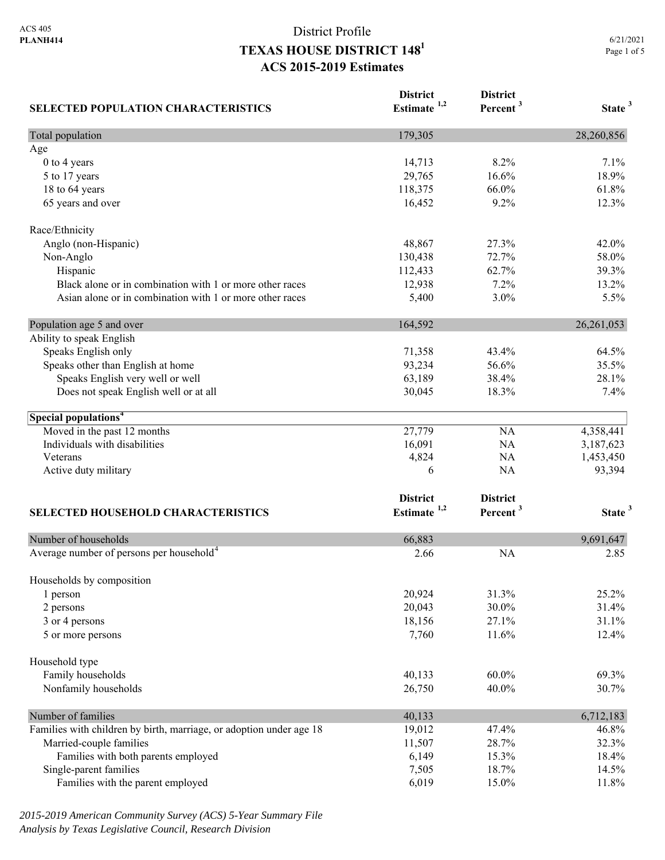| <b>SELECTED POPULATION CHARACTERISTICS</b>                          | <b>District</b><br>Estimate <sup>1,2</sup> | <b>District</b><br>Percent <sup>3</sup> | State <sup>3</sup> |
|---------------------------------------------------------------------|--------------------------------------------|-----------------------------------------|--------------------|
| Total population                                                    | 179,305                                    |                                         | 28,260,856         |
| Age                                                                 |                                            |                                         |                    |
| 0 to 4 years                                                        | 14,713                                     | 8.2%                                    | 7.1%               |
| 5 to 17 years                                                       | 29,765                                     | 16.6%                                   | 18.9%              |
| 18 to 64 years                                                      | 118,375                                    | 66.0%                                   | 61.8%              |
| 65 years and over                                                   | 16,452                                     | 9.2%                                    | 12.3%              |
| Race/Ethnicity                                                      |                                            |                                         |                    |
| Anglo (non-Hispanic)                                                | 48,867                                     | 27.3%                                   | 42.0%              |
| Non-Anglo                                                           | 130,438                                    | 72.7%                                   | 58.0%              |
| Hispanic                                                            | 112,433                                    | 62.7%                                   | 39.3%              |
| Black alone or in combination with 1 or more other races            | 12,938                                     | 7.2%                                    | 13.2%              |
| Asian alone or in combination with 1 or more other races            | 5,400                                      | 3.0%                                    | 5.5%               |
| Population age 5 and over                                           | 164,592                                    |                                         | 26, 261, 053       |
| Ability to speak English                                            |                                            |                                         |                    |
| Speaks English only                                                 | 71,358                                     | 43.4%                                   | 64.5%              |
| Speaks other than English at home                                   | 93,234                                     | 56.6%                                   | 35.5%              |
| Speaks English very well or well                                    | 63,189                                     | 38.4%                                   | 28.1%              |
| Does not speak English well or at all                               | 30,045                                     | 18.3%                                   | 7.4%               |
| Special populations <sup>4</sup>                                    |                                            |                                         |                    |
| Moved in the past 12 months                                         | 27,779                                     | NA                                      | 4,358,441          |
| Individuals with disabilities                                       | 16,091                                     | <b>NA</b>                               | 3,187,623          |
| Veterans                                                            | 4,824                                      | <b>NA</b>                               | 1,453,450          |
| Active duty military                                                | 6                                          | <b>NA</b>                               | 93,394             |
|                                                                     | <b>District</b>                            | <b>District</b>                         |                    |
| <b>SELECTED HOUSEHOLD CHARACTERISTICS</b>                           | Estimate $1,2$                             | Percent <sup>3</sup>                    | State <sup>3</sup> |
| Number of households                                                | 66,883                                     |                                         | 9,691,647          |
| Average number of persons per household <sup>4</sup>                | 2.66                                       | <b>NA</b>                               | 2.85               |
|                                                                     |                                            |                                         |                    |
| Households by composition<br>1 person                               | 20,924                                     | 31.3%                                   | 25.2%              |
| 2 persons                                                           | 20,043                                     | 30.0%                                   | 31.4%              |
| 3 or 4 persons                                                      | 18,156                                     | 27.1%                                   | 31.1%              |
| 5 or more persons                                                   | 7,760                                      | 11.6%                                   | 12.4%              |
|                                                                     |                                            |                                         |                    |
| Household type                                                      |                                            | $60.0\%$                                |                    |
| Family households                                                   | 40,133                                     |                                         | 69.3%              |
| Nonfamily households                                                | 26,750                                     | 40.0%                                   | 30.7%              |
| Number of families                                                  | 40,133                                     |                                         | 6,712,183          |
| Families with children by birth, marriage, or adoption under age 18 | 19,012                                     | 47.4%                                   | 46.8%              |
| Married-couple families                                             | 11,507                                     | 28.7%                                   | 32.3%              |
| Families with both parents employed                                 | 6,149                                      | 15.3%                                   | 18.4%              |
| Single-parent families                                              | 7,505                                      | 18.7%                                   | 14.5%              |
| Families with the parent employed                                   | 6,019                                      | 15.0%                                   | 11.8%              |

*2015-2019 American Community Survey (ACS) 5-Year Summary File Analysis by Texas Legislative Council, Research Division*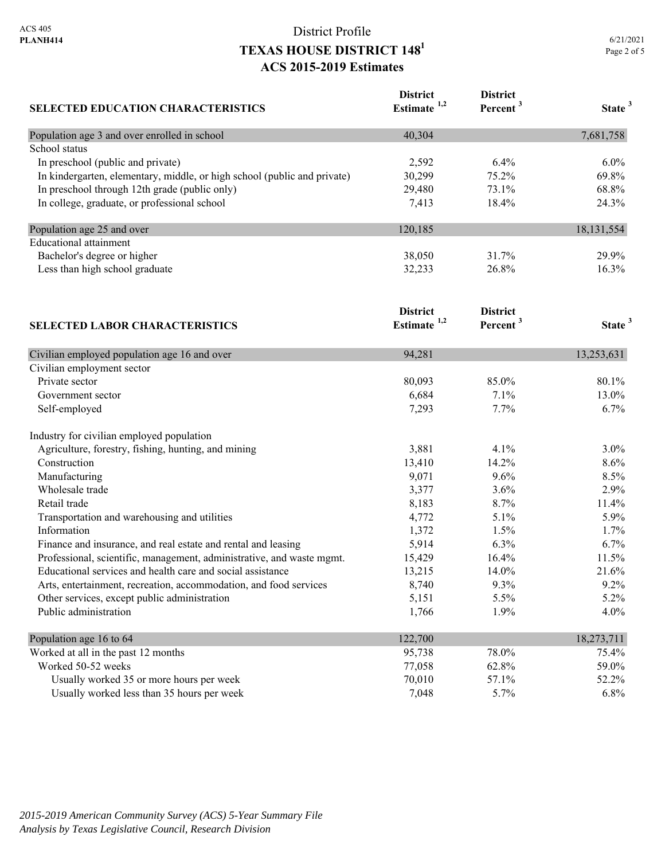| 6/21/2021   |  |  |  |
|-------------|--|--|--|
| Page 2 of 5 |  |  |  |

| <b>SELECTED EDUCATION CHARACTERISTICS</b>                                | <b>District</b><br>Estimate <sup>1,2</sup> | <b>District</b><br>Percent <sup>3</sup> | State <sup>3</sup> |
|--------------------------------------------------------------------------|--------------------------------------------|-----------------------------------------|--------------------|
| Population age 3 and over enrolled in school                             | 40,304                                     |                                         | 7,681,758          |
| School status                                                            |                                            |                                         |                    |
| In preschool (public and private)                                        | 2,592                                      | 6.4%                                    | 6.0%               |
| In kindergarten, elementary, middle, or high school (public and private) | 30,299                                     | 75.2%                                   | 69.8%              |
| In preschool through 12th grade (public only)                            | 29,480                                     | 73.1%                                   | 68.8%              |
| In college, graduate, or professional school                             | 7,413                                      | 18.4%                                   | 24.3%              |
| Population age 25 and over                                               | 120,185                                    |                                         | 18, 131, 554       |
| <b>Educational</b> attainment                                            |                                            |                                         |                    |
| Bachelor's degree or higher                                              | 38,050                                     | 31.7%                                   | 29.9%              |
| Less than high school graduate                                           | 32,233                                     | 26.8%                                   | 16.3%              |
| <b>SELECTED LABOR CHARACTERISTICS</b>                                    | <b>District</b><br>Estimate <sup>1,2</sup> | <b>District</b><br>Percent <sup>3</sup> | State <sup>3</sup> |
| Civilian employed population age 16 and over                             | 94,281                                     |                                         | 13,253,631         |
| Civilian employment sector                                               |                                            |                                         |                    |
| Private sector                                                           | 80,093                                     | 85.0%                                   | 80.1%              |
| Government sector                                                        | 6,684                                      | 7.1%                                    | 13.0%              |
| Self-employed                                                            | 7,293                                      | 7.7%                                    | 6.7%               |
| Industry for civilian employed population                                |                                            |                                         |                    |
| Agriculture, forestry, fishing, hunting, and mining                      | 3,881                                      | 4.1%                                    | 3.0%               |
| Construction                                                             | 13,410                                     | 14.2%                                   | 8.6%               |
| Manufacturing                                                            | 9,071                                      | 9.6%                                    | 8.5%               |
| Wholesale trade                                                          | 3,377                                      | 3.6%                                    | 2.9%               |
| Retail trade                                                             | 8,183                                      | 8.7%                                    | 11.4%              |
| Transportation and warehousing and utilities                             | 4,772                                      | 5.1%                                    | 5.9%               |
| Information                                                              | 1,372                                      | 1.5%                                    | 1.7%               |
| Finance and insurance, and real estate and rental and leasing            | 5,914                                      | 6.3%                                    | 6.7%               |
| Professional, scientific, management, administrative, and waste mgmt.    | 15,429                                     | 16.4%                                   | 11.5%              |
| Educational services and health care and social assistance               | 13,215                                     | 14.0%                                   | 21.6%              |
| Arts, entertainment, recreation, accommodation, and food services        | 8,740                                      | 9.3%                                    | 9.2%               |
| Other services, except public administration                             | 5,151                                      | 5.5%                                    | 5.2%               |

| Population age 16 to 64                    | 122,700 |         | 18,273,711 |
|--------------------------------------------|---------|---------|------------|
| Worked at all in the past 12 months        | 95,738  | 78.0%   | 75.4%      |
| Worked 50-52 weeks                         | 77,058  | 62.8%   | 59.0%      |
| Usually worked 35 or more hours per week   | 70,010  | 57.1%   | 52.2%      |
| Usually worked less than 35 hours per week | 7.048   | $5.7\%$ | $6.8\%$    |

Public administration  $1,766$   $1.9\%$   $4.0\%$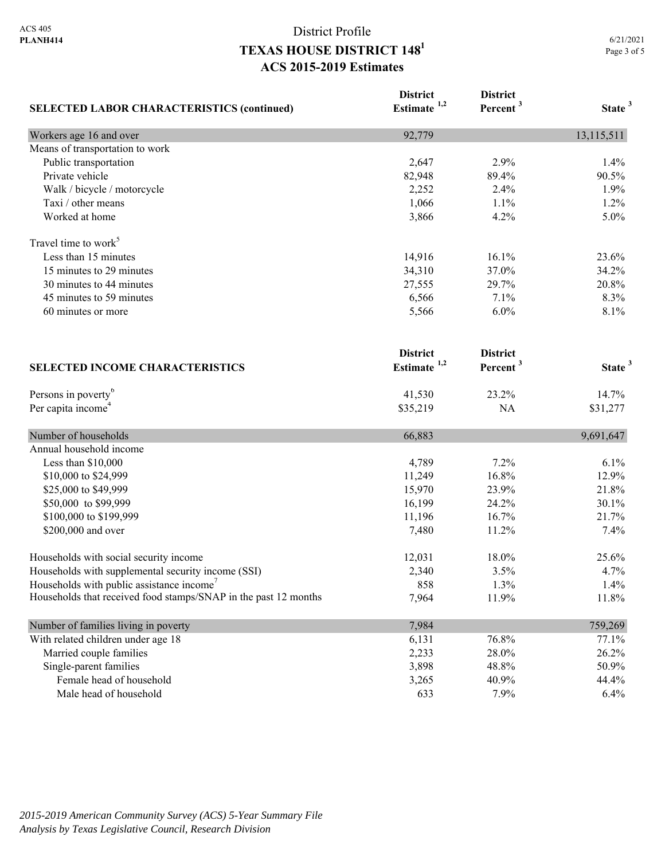|                                                                 | <b>District</b>         | <b>District</b>      |                    |
|-----------------------------------------------------------------|-------------------------|----------------------|--------------------|
| <b>SELECTED LABOR CHARACTERISTICS (continued)</b>               | Estimate <sup>1,2</sup> | Percent <sup>3</sup> | State <sup>3</sup> |
| Workers age 16 and over                                         | 92,779                  |                      | 13,115,511         |
| Means of transportation to work                                 |                         |                      |                    |
| Public transportation                                           | 2,647                   | 2.9%                 | 1.4%               |
| Private vehicle                                                 | 82,948                  | 89.4%                | 90.5%              |
| Walk / bicycle / motorcycle                                     | 2,252                   | 2.4%                 | 1.9%               |
| Taxi / other means                                              | 1,066                   | 1.1%                 | 1.2%               |
| Worked at home                                                  | 3,866                   | 4.2%                 | 5.0%               |
| Travel time to work <sup>5</sup>                                |                         |                      |                    |
| Less than 15 minutes                                            | 14,916                  | 16.1%                | 23.6%              |
| 15 minutes to 29 minutes                                        | 34,310                  | 37.0%                | 34.2%              |
| 30 minutes to 44 minutes                                        | 27,555                  | 29.7%                | 20.8%              |
| 45 minutes to 59 minutes                                        | 6,566                   | 7.1%                 | 8.3%               |
| 60 minutes or more                                              | 5,566                   | 6.0%                 | 8.1%               |
|                                                                 | <b>District</b>         | <b>District</b>      |                    |
| <b>SELECTED INCOME CHARACTERISTICS</b>                          | Estimate $1,2$          | Percent <sup>3</sup> | State <sup>3</sup> |
| Persons in poverty <sup>6</sup>                                 | 41,530                  | 23.2%                | 14.7%              |
| Per capita income <sup>4</sup>                                  | \$35,219                | <b>NA</b>            | \$31,277           |
| Number of households                                            | 66,883                  |                      | 9,691,647          |
| Annual household income                                         |                         |                      |                    |
| Less than \$10,000                                              | 4,789                   | 7.2%                 | 6.1%               |
| \$10,000 to \$24,999                                            | 11,249                  | 16.8%                | 12.9%              |
| \$25,000 to \$49,999                                            | 15,970                  | 23.9%                | 21.8%              |
| \$50,000 to \$99,999                                            | 16,199                  | 24.2%                | 30.1%              |
| \$100,000 to \$199,999                                          | 11,196                  | 16.7%                | 21.7%              |
| \$200,000 and over                                              | 7,480                   | 11.2%                | 7.4%               |
| Households with social security income                          | 12,031                  | 18.0%                | 25.6%              |
| Households with supplemental security income (SSI)              | 2,340                   | 3.5%                 | 4.7%               |
| Households with public assistance income'                       | 858                     | 1.3%                 | 1.4%               |
| Households that received food stamps/SNAP in the past 12 months | 7,964                   | 11.9%                | 11.8%              |
| Number of families living in poverty                            | 7,984                   |                      | 759,269            |
| With related children under age 18                              | 6,131                   | 76.8%                | 77.1%              |
| Married couple families                                         | 2,233                   | 28.0%                | 26.2%              |
| Single-parent families                                          | 3,898                   | 48.8%                | 50.9%              |
| Female head of household                                        | 3,265                   | 40.9%                | 44.4%              |
| Male head of household                                          | 633                     | 7.9%                 | 6.4%               |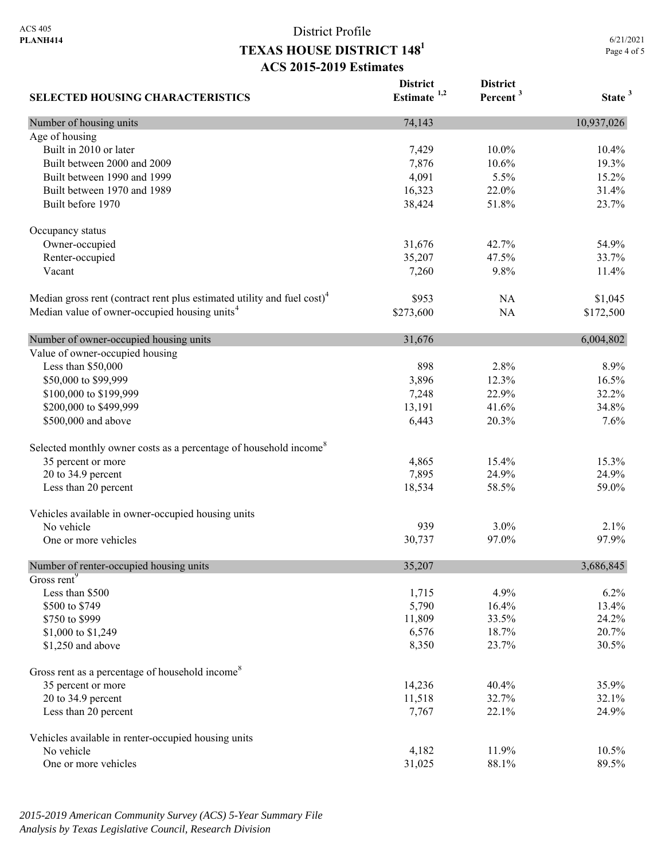|                                                                                     | <b>District</b> | <b>District</b>      |                    |
|-------------------------------------------------------------------------------------|-----------------|----------------------|--------------------|
| <b>SELECTED HOUSING CHARACTERISTICS</b>                                             | Estimate $1,2$  | Percent <sup>3</sup> | State <sup>3</sup> |
| Number of housing units                                                             | 74,143          |                      | 10,937,026         |
| Age of housing                                                                      |                 |                      |                    |
| Built in 2010 or later                                                              | 7,429           | 10.0%                | 10.4%              |
| Built between 2000 and 2009                                                         | 7,876           | 10.6%                | 19.3%              |
| Built between 1990 and 1999                                                         | 4,091           | 5.5%                 | 15.2%              |
| Built between 1970 and 1989                                                         | 16,323          | 22.0%                | 31.4%              |
| Built before 1970                                                                   | 38,424          | 51.8%                | 23.7%              |
| Occupancy status                                                                    |                 |                      |                    |
| Owner-occupied                                                                      | 31,676          | 42.7%                | 54.9%              |
| Renter-occupied                                                                     | 35,207          | 47.5%                | 33.7%              |
| Vacant                                                                              | 7,260           | 9.8%                 | 11.4%              |
| Median gross rent (contract rent plus estimated utility and fuel cost) <sup>4</sup> | \$953           | NA                   | \$1,045            |
| Median value of owner-occupied housing units <sup>4</sup>                           | \$273,600       | NA                   | \$172,500          |
| Number of owner-occupied housing units                                              | 31,676          |                      | 6,004,802          |
| Value of owner-occupied housing                                                     |                 |                      |                    |
| Less than \$50,000                                                                  | 898             | 2.8%                 | 8.9%               |
| \$50,000 to \$99,999                                                                | 3,896           | 12.3%                | 16.5%              |
| \$100,000 to \$199,999                                                              | 7,248           | 22.9%                | 32.2%              |
| \$200,000 to \$499,999                                                              | 13,191          | 41.6%                | 34.8%              |
| \$500,000 and above                                                                 | 6,443           | 20.3%                | 7.6%               |
| Selected monthly owner costs as a percentage of household income <sup>8</sup>       |                 |                      |                    |
| 35 percent or more                                                                  | 4,865           | 15.4%                | 15.3%              |
| 20 to 34.9 percent                                                                  | 7,895           | 24.9%                | 24.9%              |
| Less than 20 percent                                                                | 18,534          | 58.5%                | 59.0%              |
| Vehicles available in owner-occupied housing units                                  |                 |                      |                    |
| No vehicle                                                                          | 939             | 3.0%                 | 2.1%               |
| One or more vehicles                                                                | 30,737          | 97.0%                | 97.9%              |
| Number of renter-occupied housing units                                             | 35,207          |                      | 3,686,845          |
| Gross rent <sup>9</sup>                                                             |                 |                      |                    |
| Less than \$500                                                                     | 1,715           | 4.9%                 | 6.2%               |
| \$500 to \$749                                                                      | 5,790           | 16.4%                | 13.4%              |
| \$750 to \$999                                                                      | 11,809          | 33.5%                | 24.2%              |
| \$1,000 to \$1,249                                                                  | 6,576           | 18.7%                | 20.7%              |
| \$1,250 and above                                                                   | 8,350           | 23.7%                | 30.5%              |
| Gross rent as a percentage of household income <sup>8</sup>                         |                 |                      |                    |
| 35 percent or more                                                                  | 14,236          | 40.4%                | 35.9%              |
| 20 to 34.9 percent                                                                  | 11,518          | 32.7%                | 32.1%              |
| Less than 20 percent                                                                | 7,767           | 22.1%                | 24.9%              |
| Vehicles available in renter-occupied housing units                                 |                 |                      |                    |
| No vehicle                                                                          | 4,182           | 11.9%                | 10.5%              |
| One or more vehicles                                                                | 31,025          | 88.1%                | 89.5%              |